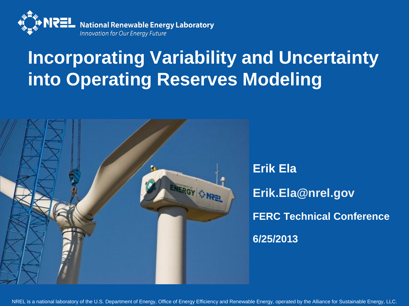

#### **Incorporating Variability and Uncertainty into Operating Reserves Modeling**



NREL is a national laboratory of the U.S. Department of Energy, Office of Energy Efficiency and Renewable Energy, operated by the Alliance for Sustainable Energy, LLC.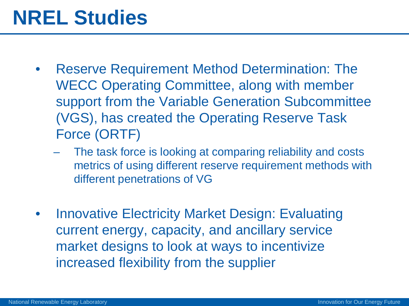### **NREL Studies**

- Reserve Requirement Method Determination: The WECC Operating Committee, along with member support from the Variable Generation Subcommittee (VGS), has created the Operating Reserve Task Force (ORTF)
	- The task force is looking at comparing reliability and costs metrics of using different reserve requirement methods with different penetrations of VG
- **Innovative Electricity Market Design: Evaluating** current energy, capacity, and ancillary service market designs to look at ways to incentivize increased flexibility from the supplier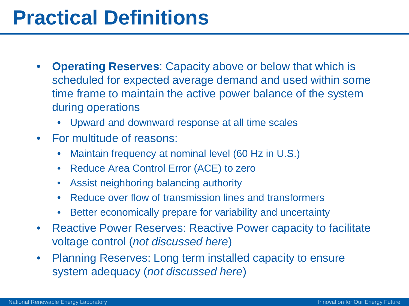### **Practical Definitions**

- **Operating Reserves**: Capacity above or below that which is scheduled for expected average demand and used within some time frame to maintain the active power balance of the system during operations
	- Upward and downward response at all time scales
- For multitude of reasons:
	- Maintain frequency at nominal level (60 Hz in U.S.)
	- Reduce Area Control Error (ACE) to zero
	- Assist neighboring balancing authority
	- Reduce over flow of transmission lines and transformers
	- Better economically prepare for variability and uncertainty
- Reactive Power Reserves: Reactive Power capacity to facilitate voltage control (*not discussed here*)
- Planning Reserves: Long term installed capacity to ensure system adequacy (*not discussed here*)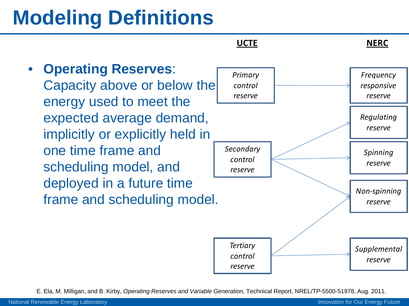# **Modeling Definitions**



E. Ela, M. Milligan, and B. Kirby, *Operating Reserves and Variable Generation,* Technical Report, NREL/TP-5500-51978, Aug. 2011.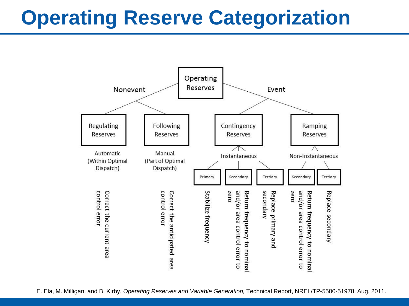### **Operating Reserve Categorization**

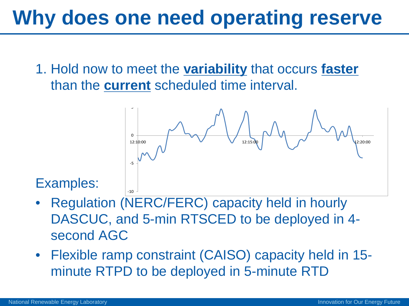1. Hold now to meet the **variability** that occurs **faster** than the **current** scheduled time interval.



#### Examples:

- Regulation (NERC/FERC) capacity held in hourly DASCUC, and 5-min RTSCED to be deployed in 4 second AGC
- Flexible ramp constraint (CAISO) capacity held in 15 minute RTPD to be deployed in 5-minute RTD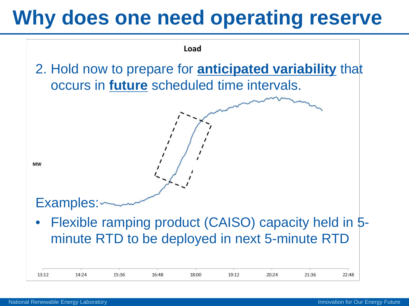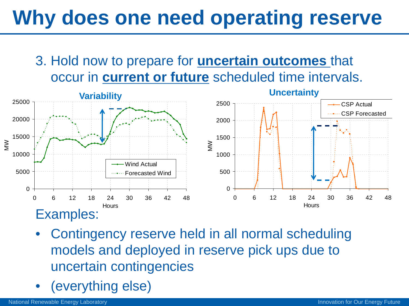3. Hold now to prepare for **uncertain outcomes** that occur in **current or future** scheduled time intervals.



- Contingency reserve held in all normal scheduling models and deployed in reserve pick ups due to uncertain contingencies
- (everything else)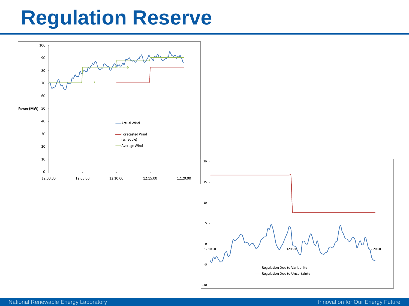### **Regulation Reserve**

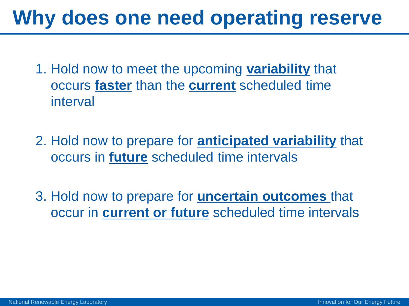- 1. Hold now to meet the upcoming **variability** that occurs **faster** than the **current** scheduled time interval
- 2. Hold now to prepare for **anticipated variability** that occurs in **future** scheduled time intervals
- 3. Hold now to prepare for **uncertain outcomes** that occur in **current or future** scheduled time intervals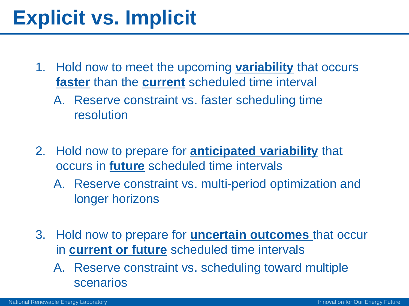## **Explicit vs. Implicit**

- 1. Hold now to meet the upcoming **variability** that occurs **faster** than the **current** scheduled time interval
	- A. Reserve constraint vs. faster scheduling time resolution
- 2. Hold now to prepare for **anticipated variability** that occurs in **future** scheduled time intervals
	- A. Reserve constraint vs. multi-period optimization and longer horizons
- 3. Hold now to prepare for **uncertain outcomes** that occur in **current or future** scheduled time intervals
	- A. Reserve constraint vs. scheduling toward multiple scenarios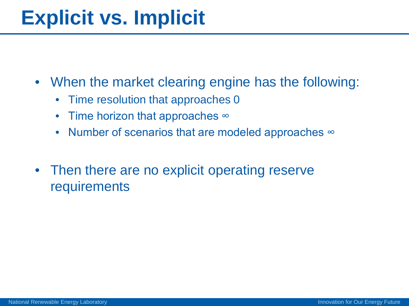### **Explicit vs. Implicit**

- When the market clearing engine has the following:
	- Time resolution that approaches 0
	- Time horizon that approaches ∞
	- Number of scenarios that are modeled approaches  $\infty$
- Then there are no explicit operating reserve **requirements**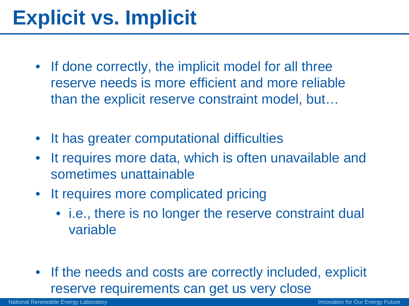## **Explicit vs. Implicit**

- If done correctly, the implicit model for all three reserve needs is more efficient and more reliable than the explicit reserve constraint model, but…
- It has greater computational difficulties
- It requires more data, which is often unavailable and sometimes unattainable
- It requires more complicated pricing
	- i.e., there is no longer the reserve constraint dual variable
- If the needs and costs are correctly included, explicit reserve requirements can get us very close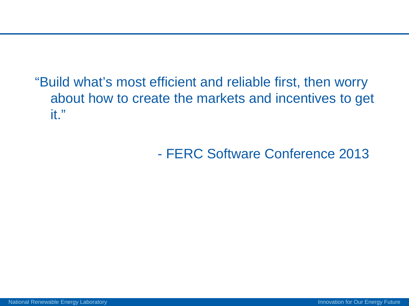"Build what's most efficient and reliable first, then worry about how to create the markets and incentives to get it."

- FERC Software Conference 2013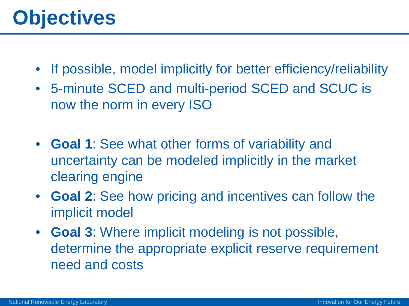## **Objectives**

- If possible, model implicitly for better efficiency/reliability
- 5-minute SCED and multi-period SCED and SCUC is now the norm in every ISO
- **Goal 1**: See what other forms of variability and uncertainty can be modeled implicitly in the market clearing engine
- **Goal 2**: See how pricing and incentives can follow the implicit model
- **Goal 3**: Where implicit modeling is not possible, determine the appropriate explicit reserve requirement need and costs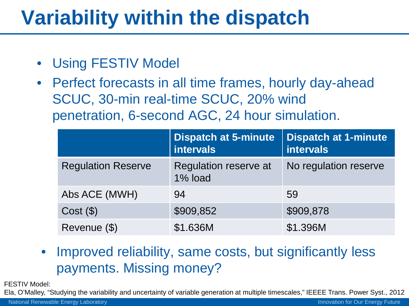## **Variability within the dispatch**

- Using FESTIV Model
- Perfect forecasts in all time frames, hourly day-ahead SCUC, 30-min real-time SCUC, 20% wind penetration, 6-second AGC, 24 hour simulation.

|                           | <b>Dispatch at 5-minute</b><br><b>intervals</b> | <b>Dispatch at 1-minute</b><br><b>intervals</b> |
|---------------------------|-------------------------------------------------|-------------------------------------------------|
| <b>Regulation Reserve</b> | Regulation reserve at<br>1% load                | No regulation reserve                           |
| Abs ACE (MWH)             | 94                                              | 59                                              |
| $Cost($ \$)               | \$909,852                                       | \$909,878                                       |
| Revenue (\$)              | \$1.636M                                        | \$1.396M                                        |

• Improved reliability, same costs, but significantly less payments. Missing money?

FESTIV Model:

Ela, O'Malley, "Studying the variability and uncertainty of variable generation at multiple timescales," IEEEE Trans. Power Syst., 2012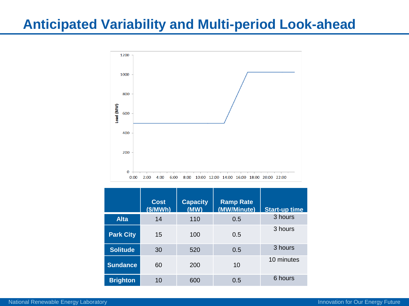#### **Anticipated Variability and Multi-period Look-ahead**



|                  | <b>Cost</b><br>(S/MWh) | <b>Capacity</b><br>(MW) | <b>Ramp Rate</b><br>(MW/Minute) | <b>Start-up time</b> |
|------------------|------------------------|-------------------------|---------------------------------|----------------------|
| <b>Alta</b>      | 14                     | 110                     | 0.5                             | 3 hours              |
| <b>Park City</b> | 15                     | 100                     | 0.5                             | 3 hours              |
| <b>Solitude</b>  | 30                     | 520                     | 0.5                             | 3 hours              |
| <b>Sundance</b>  | 60                     | 200                     | 10                              | 10 minutes           |
| <b>Brighton</b>  | 10                     | 600                     | 0.5                             | 6 hours              |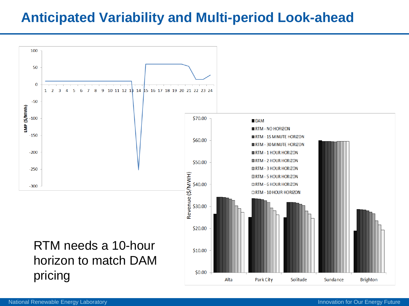#### **Anticipated Variability and Multi-period Look-ahead**

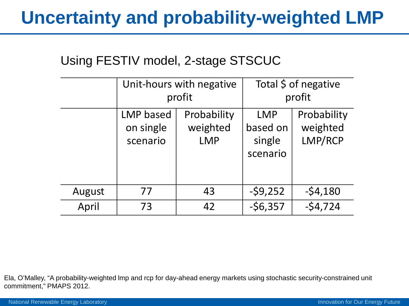#### **Uncertainty and probability-weighted LMP**

#### Using FESTIV model, 2-stage STSCUC

|        |                                           | Unit-hours with negative<br>profit    | Total \$ of negative<br>profit               |                                    |
|--------|-------------------------------------------|---------------------------------------|----------------------------------------------|------------------------------------|
|        | <b>LMP</b> based<br>on single<br>scenario | Probability<br>weighted<br><b>LMP</b> | <b>LMP</b><br>based on<br>single<br>scenario | Probability<br>weighted<br>LMP/RCP |
| August | 77                                        | 43                                    | $-59,252$                                    | $-54,180$                          |
| April  | 73                                        | 42                                    | $-56,357$                                    | $-54,724$                          |

Ela, O'Malley, "A probability-weighted lmp and rcp for day-ahead energy markets using stochastic security-constrained unit commitment," PMAPS 2012.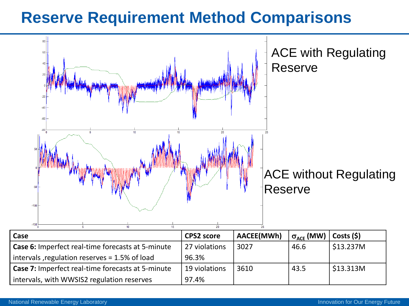#### **Reserve Requirement Method Comparisons**